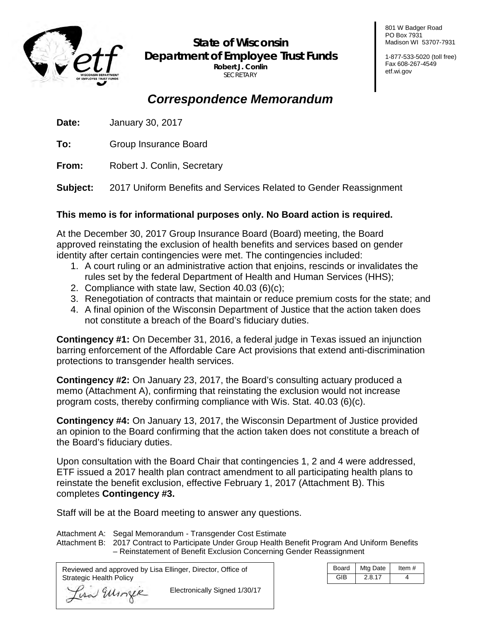

**State of Wisconsin Department of Employee Trust Funds Robert J. Conlin SECRETARY** 

801 W Badger Road PO Box 7931 Madison WI 53707-7931

1-877-533-5020 (toll free) Fax 608-267-4549 etf.wi.gov

# *Correspondence Memorandum*

**Date:** January 30, 2017

**To:** Group Insurance Board

**From:** Robert J. Conlin, Secretary

**Subject:** 2017 Uniform Benefits and Services Related to Gender Reassignment

## **This memo is for informational purposes only. No Board action is required.**

At the December 30, 2017 Group Insurance Board (Board) meeting, the Board approved reinstating the exclusion of health benefits and services based on gender identity after certain contingencies were met. The contingencies included:

- 1. A court ruling or an administrative action that enjoins, rescinds or invalidates the rules set by the federal Department of Health and Human Services (HHS);
- 2. Compliance with state law, Section 40.03 (6)(c);
- 3. Renegotiation of contracts that maintain or reduce premium costs for the state; and
- 4. A final opinion of the Wisconsin Department of Justice that the action taken does not constitute a breach of the Board's fiduciary duties.

**Contingency #1:** On December 31, 2016, a federal judge in Texas issued an injunction barring enforcement of the [Affordable Care Act](http://www.huffingtonpost.com/news/affordable-care-act/) provisions that extend anti-discrimination protections to transgender health services.

**Contingency #2:** On January 23, 2017, the Board's consulting actuary produced a memo (Attachment A), confirming that reinstating the exclusion would not increase program costs, thereby confirming compliance with Wis. Stat. 40.03 (6)(c).

**Contingency #4:** On January 13, 2017, the Wisconsin Department of Justice provided an opinion to the Board confirming that the action taken does not constitute a breach of the Board's fiduciary duties.

Upon consultation with the Board Chair that contingencies 1, 2 and 4 were addressed, ETF issued a 2017 health plan contract amendment to all participating health plans to reinstate the benefit exclusion, effective February 1, 2017 (Attachment B). This completes **Contingency #3.**

Staff will be at the Board meeting to answer any questions.

Attachment A: Segal Memorandum - Transgender Cost Estimate

Attachment B: 2017 Contract to Participate Under Group Health Benefit Program And Uniform Benefits – Reinstatement of Benefit Exclusion Concerning Gender Reassignment

Reviewed and approved by Lisa Ellinger, Director, Office of Strategic Health Policy

Lisa Ellinger

 $\overline{a}$ 

Electronically Signed 1/30/17

| Board      | Mtg Date | Item # |
|------------|----------|--------|
| <b>GIR</b> | 2.8.17   |        |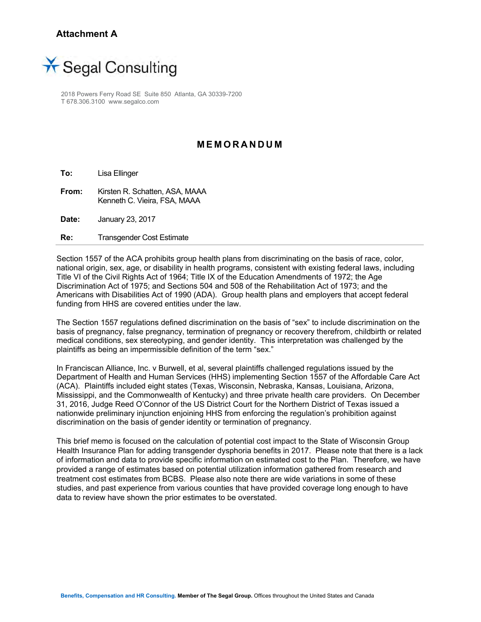## **Attachment A**



2018 Powers Ferry Road SE Suite 850 Atlanta, GA 30339-7200 T 678.306.3100 www.segalco.com

#### **MEMORANDUM**

**To:** Lisa Ellinger

**From:** Kirsten R. Schatten, ASA, MAAA Kenneth C. Vieira, FSA, MAAA

**Date:** January 23, 2017

**Re:** Transgender Cost Estimate

Section 1557 of the ACA prohibits group health plans from discriminating on the basis of race, color, national origin, sex, age, or disability in health programs, consistent with existing federal laws, including Title VI of the Civil Rights Act of 1964; Title IX of the Education Amendments of 1972; the Age Discrimination Act of 1975; and Sections 504 and 508 of the Rehabilitation Act of 1973; and the Americans with Disabilities Act of 1990 (ADA). Group health plans and employers that accept federal funding from HHS are covered entities under the law.

The Section 1557 regulations defined discrimination on the basis of "sex" to include discrimination on the basis of pregnancy, false pregnancy, termination of pregnancy or recovery therefrom, childbirth or related medical conditions, sex stereotyping, and gender identity. This interpretation was challenged by the plaintiffs as being an impermissible definition of the term "sex."

In Franciscan Alliance, Inc. v Burwell, et al, several plaintiffs challenged regulations issued by the Department of Health and Human Services (HHS) implementing Section 1557 of the Affordable Care Act (ACA). Plaintiffs included eight states (Texas, Wisconsin, Nebraska, Kansas, Louisiana, Arizona, Mississippi, and the Commonwealth of Kentucky) and three private health care providers. On December 31, 2016, Judge Reed O'Connor of the US District Court for the Northern District of Texas issued a nationwide preliminary injunction enjoining HHS from enforcing the regulation's prohibition against discrimination on the basis of gender identity or termination of pregnancy.

This brief memo is focused on the calculation of potential cost impact to the State of Wisconsin Group Health Insurance Plan for adding transgender dysphoria benefits in 2017. Please note that there is a lack of information and data to provide specific information on estimated cost to the Plan. Therefore, we have provided a range of estimates based on potential utilization information gathered from research and treatment cost estimates from BCBS. Please also note there are wide variations in some of these studies, and past experience from various counties that have provided coverage long enough to have data to review have shown the prior estimates to be overstated.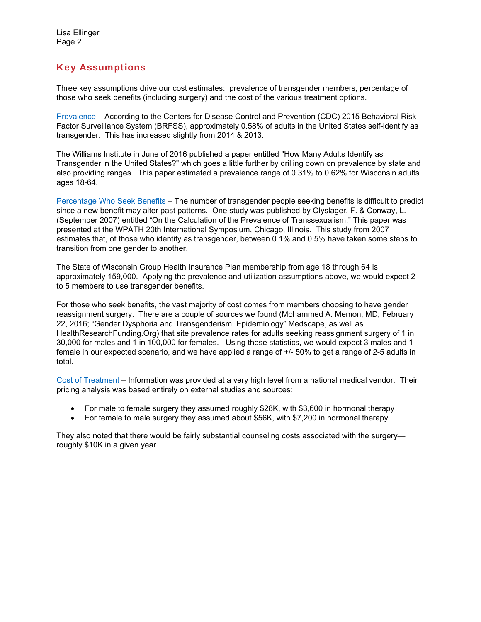## Key Assumptions

Three key assumptions drive our cost estimates: prevalence of transgender members, percentage of those who seek benefits (including surgery) and the cost of the various treatment options.

Prevalence – According to the Centers for Disease Control and Prevention (CDC) 2015 Behavioral Risk Factor Surveillance System (BRFSS), approximately 0.58% of adults in the United States self-identify as transgender. This has increased slightly from 2014 & 2013.

The Williams Institute in June of 2016 published a paper entitled "How Many Adults Identify as Transgender in the United States?" which goes a little further by drilling down on prevalence by state and also providing ranges. This paper estimated a prevalence range of 0.31% to 0.62% for Wisconsin adults ages 18-64.

Percentage Who Seek Benefits – The number of transgender people seeking benefits is difficult to predict since a new benefit may alter past patterns. One study was published by Olyslager, F. & Conway, L. (September 2007) entitled "On the Calculation of the Prevalence of Transsexualism." This paper was presented at the WPATH 20th International Symposium, Chicago, Illinois. This study from 2007 estimates that, of those who identify as transgender, between 0.1% and 0.5% have taken some steps to transition from one gender to another.

The State of Wisconsin Group Health Insurance Plan membership from age 18 through 64 is approximately 159,000. Applying the prevalence and utilization assumptions above, we would expect 2 to 5 members to use transgender benefits.

For those who seek benefits, the vast majority of cost comes from members choosing to have gender reassignment surgery. There are a couple of sources we found (Mohammed A. Memon, MD; February 22, 2016; "Gender Dysphoria and Transgenderism: Epidemiology" Medscape, as well as HealthResearchFunding.Org) that site prevalence rates for adults seeking reassignment surgery of 1 in 30,000 for males and 1 in 100,000 for females. Using these statistics, we would expect 3 males and 1 female in our expected scenario, and we have applied a range of +/- 50% to get a range of 2-5 adults in total.

Cost of Treatment – Information was provided at a very high level from a national medical vendor. Their pricing analysis was based entirely on external studies and sources:

- For male to female surgery they assumed roughly \$28K, with \$3,600 in hormonal therapy
- For female to male surgery they assumed about \$56K, with \$7,200 in hormonal therapy

They also noted that there would be fairly substantial counseling costs associated with the surgery roughly \$10K in a given year.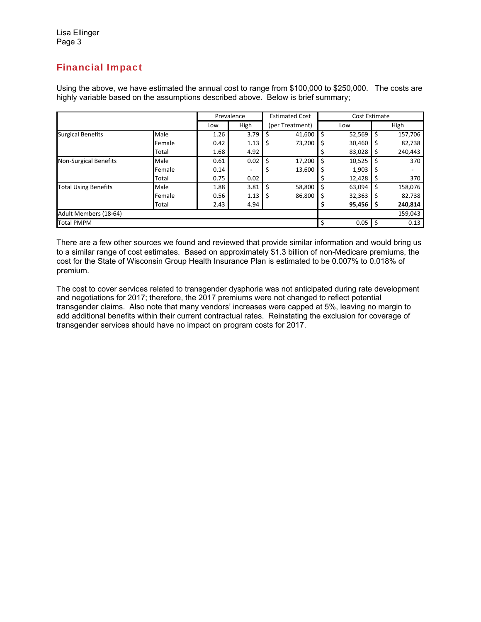# Financial Impact

Using the above, we have estimated the annual cost to range from \$100,000 to \$250,000. The costs are highly variable based on the assumptions described above. Below is brief summary;

|                              |        | Prevalence |      | <b>Estimated Cost</b> |        | Cost Estimate |        |         |         |
|------------------------------|--------|------------|------|-----------------------|--------|---------------|--------|---------|---------|
|                              |        | Low        | High | (per Treatment)       |        | Low           |        | High    |         |
| <b>Surgical Benefits</b>     | Male   | 1.26       | 3.79 | Ś                     | 41,600 | Ś             | 52,569 | \$      | 157,706 |
|                              | Female | 0.42       | 1.13 | \$                    | 73,200 | S             | 30,460 |         | 82,738  |
|                              | Total  | 1.68       | 4.92 |                       |        |               | 83,028 | 5       | 240,443 |
| <b>Non-Surgical Benefits</b> | Male   | 0.61       | 0.02 | Ś                     | 17,200 |               | 10,525 |         | 370     |
|                              | Female | 0.14       |      | S                     | 13,600 |               | 1,903  |         |         |
|                              | Total  | 0.75       | 0.02 |                       |        |               | 12,428 |         | 370     |
| <b>Total Using Benefits</b>  | Male   | 1.88       | 3.81 | Ś                     | 58,800 | S             | 63,094 | S       | 158,076 |
|                              | Female | 0.56       | 1.13 | \$                    | 86,800 | S             | 32,363 |         | 82,738  |
|                              | Total  | 2.43       | 4.94 |                       |        |               | 95,456 | s       | 240,814 |
| Adult Members (18-64)        |        |            |      |                       |        |               |        | 159,043 |         |
| <b>Total PMPM</b>            |        |            |      | Ś                     | 0.05   | -\$           | 0.13   |         |         |

There are a few other sources we found and reviewed that provide similar information and would bring us to a similar range of cost estimates. Based on approximately \$1.3 billion of non-Medicare premiums, the cost for the State of Wisconsin Group Health Insurance Plan is estimated to be 0.007% to 0.018% of premium.

The cost to cover services related to transgender dysphoria was not anticipated during rate development and negotiations for 2017; therefore, the 2017 premiums were not changed to reflect potential transgender claims. Also note that many vendors' increases were capped at 5%, leaving no margin to add additional benefits within their current contractual rates. Reinstating the exclusion for coverage of transgender services should have no impact on program costs for 2017.